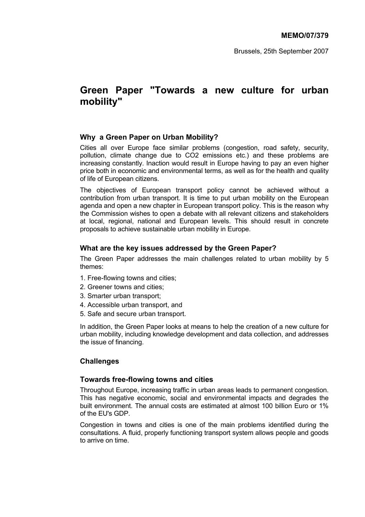Brussels, 25th September 2007

# **Green Paper "Towards a new culture for urban mobility"**

## **Why a Green Paper on Urban Mobility?**

Cities all over Europe face similar problems (congestion, road safety, security, pollution, climate change due to CO2 emissions etc.) and these problems are increasing constantly. Inaction would result in Europe having to pay an even higher price both in economic and environmental terms, as well as for the health and quality of life of European citizens.

The objectives of European transport policy cannot be achieved without a contribution from urban transport. It is time to put urban mobility on the European agenda and open a new chapter in European transport policy. This is the reason why the Commission wishes to open a debate with all relevant citizens and stakeholders at local, regional, national and European levels. This should result in concrete proposals to achieve sustainable urban mobility in Europe.

## **What are the key issues addressed by the Green Paper?**

The Green Paper addresses the main challenges related to urban mobility by 5 themes:

- 1. Free-flowing towns and cities;
- 2. Greener towns and cities;
- 3. Smarter urban transport;
- 4. Accessible urban transport, and
- 5. Safe and secure urban transport.

In addition, the Green Paper looks at means to help the creation of a new culture for urban mobility, including knowledge development and data collection, and addresses the issue of financing.

# **Challenges**

## **Towards free-flowing towns and cities**

Throughout Europe, increasing traffic in urban areas leads to permanent congestion. This has negative economic, social and environmental impacts and degrades the built environment. The annual costs are estimated at almost 100 billion Euro or 1% of the EU's GDP.

Congestion in towns and cities is one of the main problems identified during the consultations. A fluid, properly functioning transport system allows people and goods to arrive on time.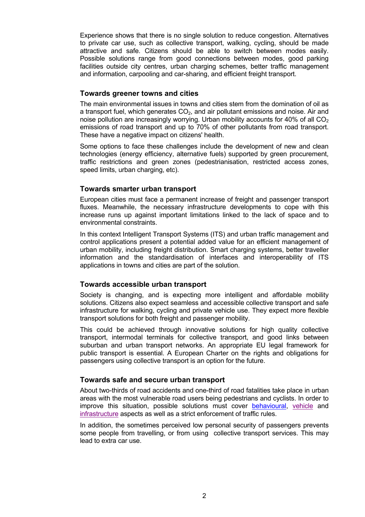Experience shows that there is no single solution to reduce congestion. Alternatives to private car use, such as collective transport, walking, cycling, should be made attractive and safe. Citizens should be able to switch between modes easily. Possible solutions range from good connections between modes, good parking facilities outside city centres, urban charging schemes, better traffic management and information, carpooling and car-sharing, and efficient freight transport.

## **Towards greener towns and cities**

The main environmental issues in towns and cities stem from the domination of oil as a transport fuel, which generates  $CO<sub>2</sub>$ , and air pollutant emissions and noise. Air and noise pollution are increasingly worrying. Urban mobility accounts for 40% of all  $CO<sub>2</sub>$ emissions of road transport and up to 70% of other pollutants from road transport. These have a negative impact on citizens' health.

Some options to face these challenges include the development of new and clean technologies (energy efficiency, alternative fuels) supported by green procurement, traffic restrictions and green zones (pedestrianisation, restricted access zones, speed limits, urban charging, etc).

## **Towards smarter urban transport**

European cities must face a permanent increase of freight and passenger transport fluxes. Meanwhile, the necessary infrastructure developments to cope with this increase runs up against important limitations linked to the lack of space and to environmental constraints.

In this context Intelligent Transport Systems (ITS) and urban traffic management and control applications present a potential added value for an efficient management of urban mobility, including freight distribution. Smart charging systems, better traveller information and the standardisation of interfaces and interoperability of ITS applications in towns and cities are part of the solution.

## **Towards accessible urban transport**

Society is changing, and is expecting more intelligent and affordable mobility solutions. Citizens also expect seamless and accessible collective transport and safe infrastructure for walking, cycling and private vehicle use. They expect more flexible transport solutions for both freight and passenger mobility.

This could be achieved through innovative solutions for high quality collective transport, intermodal terminals for collective transport, and good links between suburban and urban transport networks. An appropriate EU legal framework for public transport is essential. A European Charter on the rights and obligations for passengers using collective transport is an option for the future.

## **Towards safe and secure urban transport**

About two-thirds of road accidents and one-third of road fatalities take place in urban areas with the most vulnerable road users being pedestrians and cyclists. In order to improve this situation, possible solutions must cover behavioural, vehicle and infrastructure aspects as well as a strict enforcement of traffic rules.

In addition, the sometimes perceived low personal security of passengers prevents some people from travelling, or from using collective transport services. This may lead to extra car use.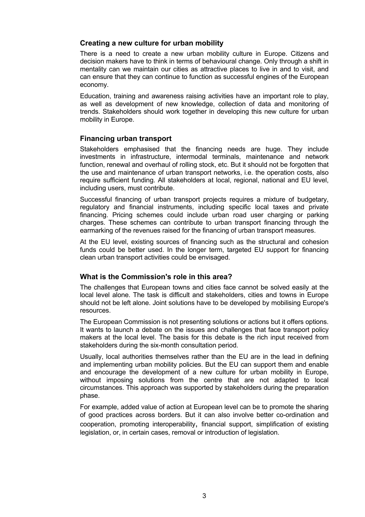## **Creating a new culture for urban mobility**

There is a need to create a new urban mobility culture in Europe. Citizens and decision makers have to think in terms of behavioural change. Only through a shift in mentality can we maintain our cities as attractive places to live in and to visit, and can ensure that they can continue to function as successful engines of the European economy.

Education, training and awareness raising activities have an important role to play, as well as development of new knowledge, collection of data and monitoring of trends. Stakeholders should work together in developing this new culture for urban mobility in Europe.

## **Financing urban transport**

Stakeholders emphasised that the financing needs are huge. They include investments in infrastructure, intermodal terminals, maintenance and network function, renewal and overhaul of rolling stock, etc. But it should not be forgotten that the use and maintenance of urban transport networks, i.e. the operation costs, also require sufficient funding. All stakeholders at local, regional, national and EU level, including users, must contribute.

Successful financing of urban transport projects requires a mixture of budgetary, regulatory and financial instruments, including specific local taxes and private financing. Pricing schemes could include urban road user charging or parking charges. These schemes can contribute to urban transport financing through the earmarking of the revenues raised for the financing of urban transport measures.

At the EU level, existing sources of financing such as the structural and cohesion funds could be better used. In the longer term, targeted EU support for financing clean urban transport activities could be envisaged.

## **What is the Commission's role in this area?**

The challenges that European towns and cities face cannot be solved easily at the local level alone. The task is difficult and stakeholders, cities and towns in Europe should not be left alone. Joint solutions have to be developed by mobilising Europe's resources.

The European Commission is not presenting solutions or actions but it offers options. It wants to launch a debate on the issues and challenges that face transport policy makers at the local level. The basis for this debate is the rich input received from stakeholders during the six-month consultation period.

Usually, local authorities themselves rather than the EU are in the lead in defining and implementing urban mobility policies. But the EU can support them and enable and encourage the development of a new culture for urban mobility in Europe, without imposing solutions from the centre that are not adapted to local circumstances. This approach was supported by stakeholders during the preparation phase.

For example, added value of action at European level can be to promote the sharing of good practices across borders. But it can also involve better co-ordination and cooperation, promoting interoperability, financial support, simplification of existing legislation, or, in certain cases, removal or introduction of legislation.